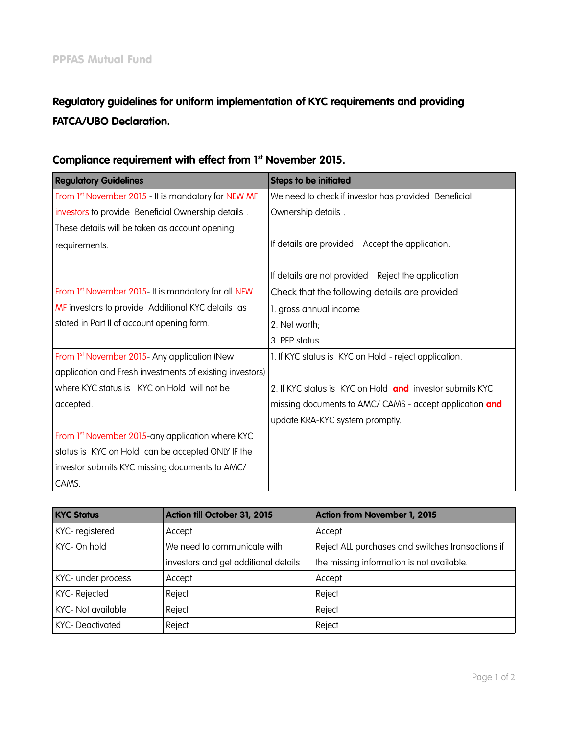# Regulatory guidelines for uniform implementation of KYC requirements and providing FATCA/UBO Declaration.

| <b>Regulatory Guidelines</b>                             | <b>Steps to be initiated</b>                             |
|----------------------------------------------------------|----------------------------------------------------------|
| From 1st November 2015 - It is mandatory for NEW MF      | We need to check if investor has provided Beneficial     |
| investors to provide Beneficial Ownership details.       | Ownership details.                                       |
| These details will be taken as account opening           |                                                          |
| requirements.                                            | If details are provided Accept the application.          |
|                                                          | If details are not provided Reject the application       |
| From 1st November 2015- It is mandatory for all NEW      | Check that the following details are provided            |
| MF investors to provide Additional KYC details as        | 1. gross annual income                                   |
| stated in Part II of account opening form.               | 2. Net worth;                                            |
|                                                          | 3. PEP status                                            |
| From 1st November 2015- Any application (New             | 1. If KYC status is KYC on Hold - reject application.    |
| application and Fresh investments of existing investors) |                                                          |
| where KYC status is KYC on Hold will not be              | 2. If KYC status is KYC on Hold and investor submits KYC |
| accepted.                                                | missing documents to AMC/ CAMS - accept application and  |
|                                                          | update KRA-KYC system promptly.                          |
| From 1st November 2015-any application where KYC         |                                                          |
| status is KYC on Hold can be accepted ONLY IF the        |                                                          |
| investor submits KYC missing documents to AMC/           |                                                          |
| CAMS.                                                    |                                                          |

## Compliance requirement with effect from 1st November 2015.

| <b>KYC Status</b>      | Action till October 31, 2015         | <b>Action from November 1, 2015</b>               |
|------------------------|--------------------------------------|---------------------------------------------------|
| KYC-registered         | Accept                               | Accept                                            |
| KYC- On hold           | We need to communicate with          | Reject ALL purchases and switches transactions if |
|                        | investors and get additional details | the missing information is not available.         |
| KYC- under process     | Accept                               | Accept                                            |
| KYC- Rejected          | Reject                               | Reject                                            |
| KYC- Not available     | Reject                               | Reject                                            |
| <b>KYC-Deactivated</b> | Reject                               | Reject                                            |